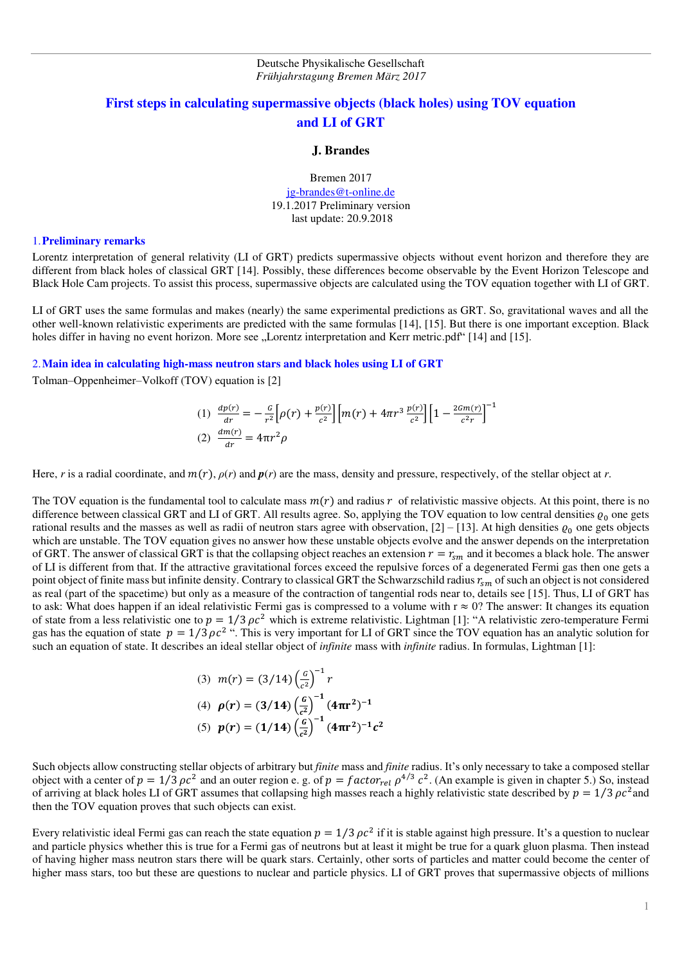# **First steps in calculating supermassive objects (black holes) using TOV equation and LI of GRT**

#### **J. Brandes**

Bremen 2017 [jg-brandes@t-online.de](mailto:jg-brandes@t-online.de) 19.1.2017 Preliminary version last update: 20.9.2018

### 1.**Preliminary remarks**

Lorentz interpretation of general relativity (LI of GRT) predicts supermassive objects without event horizon and therefore they are different from black holes of classical GRT [14]. Possibly, these differences become observable by the Event Horizon Telescope and Black Hole Cam projects. To assist this process, supermassive objects are calculated using the TOV equation together with LI of GRT.

LI of GRT uses the same formulas and makes (nearly) the same experimental predictions as GRT. So, gravitational waves and all the other well-known relativistic experiments are predicted with the same formulas [14], [15]. But there is one important exception. Black holes differ in having no event horizon. More see "Lorentz interpretation and Kerr metric.pdf<sup>\*</sup> [14] and [15].

2.**Main idea in calculating high-mass neutron stars and black holes using LI of GRT** 

Tolman–Oppenheimer–Volkoff (TOV) equation is [2]

(1) 
$$
\frac{dp(r)}{dr} = -\frac{G}{r^2} \left[ \rho(r) + \frac{p(r)}{c^2} \right] \left[ m(r) + 4\pi r^3 \frac{p(r)}{c^2} \right] \left[ 1 - \frac{2Gm(r)}{c^2 r} \right]^{-1}
$$
  
(2) 
$$
\frac{dm(r)}{dr} = 4\pi r^2 \rho
$$

Here, *r* is a radial coordinate, and  $m(r)$ ,  $\rho(r)$  and  $p(r)$  are the mass, density and pressure, respectively, of the stellar object at *r*.

The TOV equation is the fundamental tool to calculate mass  $m(r)$  and radius r of relativistic massive objects. At this point, there is no difference between classical GRT and LI of GRT. All results agree. So, applying the TOV equation to low central densities  $\varrho_0$  one gets rational results and the masses as well as radii of neutron stars agree with observation,  $[2] - [13]$ . At high densities  $\varrho_0$  one gets objects which are unstable. The TOV equation gives no answer how these unstable objects evolve and the answer depends on the interpretation of GRT. The answer of classical GRT is that the collapsing object reaches an extension  $r = r_{sm}$  and it becomes a black hole. The answer of LI is different from that. If the attractive gravitational forces exceed the repulsive forces of a degenerated Fermi gas then one gets a point object of finite mass but infinite density. Contrary to classical GRT the Schwarzschild radius  $r_{\rm sm}$  of such an object is not considered as real (part of the spacetime) but only as a measure of the contraction of tangential rods near to, details see [15]. Thus, LI of GRT has to ask: What does happen if an ideal relativistic Fermi gas is compressed to a volume with  $r \approx 0$ ? The answer: It changes its equation of state from a less relativistic one to  $p = 1/3 \rho c^2$  which is extreme relativistic. Lightman [1]: "A relativistic zero-temperature Fermi gas has the equation of state  $p = 1/3 \rho c^2$  ". This is very important for LI of GRT since the TOV equation has an analytic solution for such an equation of state. It describes an ideal stellar object of *infinite* mass with *infinite* radius. In formulas, Lightman [1]:

(3) 
$$
m(r) = (3/14) \left(\frac{G}{c^2}\right)^{-1} r
$$
  
\n(4)  $\rho(r) = (3/14) \left(\frac{G}{c^2}\right)^{-1} (4\pi r^2)^{-1}$   
\n(5)  $p(r) = (1/14) \left(\frac{G}{c^2}\right)^{-1} (4\pi r^2)^{-1} c^2$ 

Such objects allow constructing stellar objects of arbitrary but *finite* mass and *finite* radius. It's only necessary to take a composed stellar object with a center of  $p = 1/3 \rho c^2$  and an outer region e. g. of  $p = factor_{rel} \rho^{4/3} c^2$ . (An example is given in chapter 5.) So, instead of arriving at black holes LI of GRT assumes that collapsing high masses reach a highly relativistic state described by  $p = 1/3 \rho c^2$  and then the TOV equation proves that such objects can exist.

Every relativistic ideal Fermi gas can reach the state equation  $p = 1/3 \rho c^2$  if it is stable against high pressure. It's a question to nuclear and particle physics whether this is true for a Fermi gas of neutrons but at least it might be true for a quark gluon plasma. Then instead of having higher mass neutron stars there will be quark stars. Certainly, other sorts of particles and matter could become the center of higher mass stars, too but these are questions to nuclear and particle physics. LI of GRT proves that supermassive objects of millions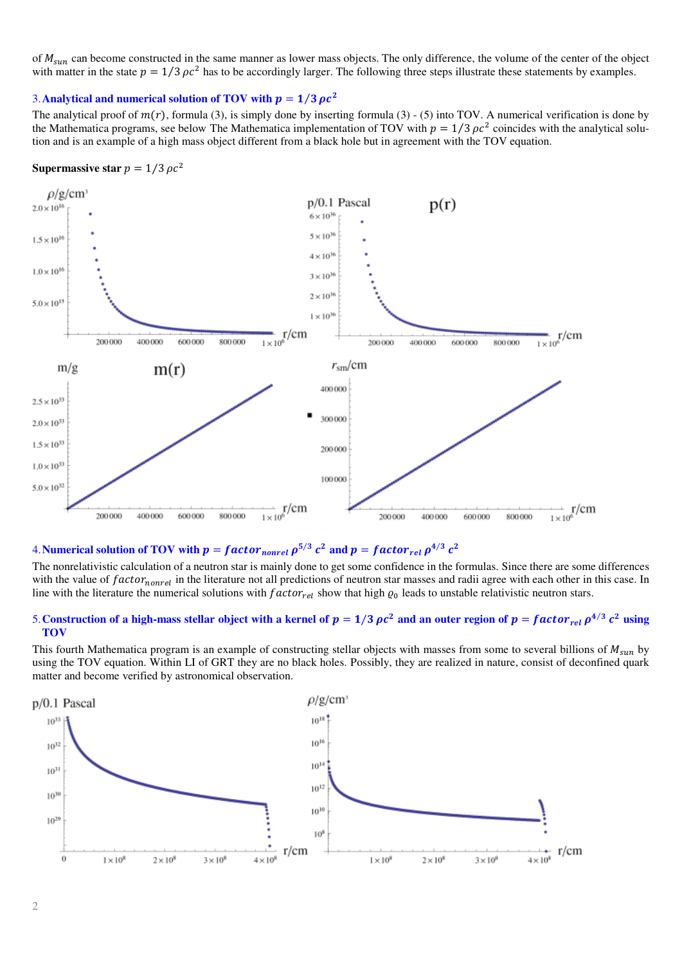of  $M_{sun}$  can become constructed in the same manner as lower mass objects. The only difference, the volume of the center of the object with matter in the state  $p = 1/3 \rho c^2$  has to be accordingly larger. The following three steps illustrate these statements by examples.

## 3. Analytical and numerical solution of TOV with  $p = 1/3 \rho c^2$

The analytical proof of  $m(r)$ , formula (3), is simply done by inserting formula (3) - (5) into TOV. A numerical verification is done by the Mathematica programs, see below The Mathematica implementation of TOV with  $p = 1/3 \rho c^2$  coincides with the analytical solution and is an example of a high mass object different from a black hole but in agreement with the TOV equation.

### **Supermassive star**  $p = 1/3 \rho c^2$



# 4. Numerical solution of TOV with  $p = factor_{nonrel} \rho^{5/3} c^2$  and  $p = factor_{rel} \rho^{4/3} c^2$

The nonrelativistic calculation of a neutron star is mainly done to get some confidence in the formulas. Since there are some differences with the value of  $factor_{nonrel}$  in the literature not all predictions of neutron star masses and radii agree with each other in this case. In line with the literature the numerical solutions with  $factor_{rel}$  show that high  $\varrho_0$  leads to unstable relativistic neutron stars.

### 5. Construction of a high-mass stellar object with a kernel of  $p = 1/3 \rho c^2$  and an outer region of  $p = factor_{rel} \rho^{4/3} c^2$  using **TOV**

This fourth Mathematica program is an example of constructing stellar objects with masses from some to several billions of  $M<sub>sun</sub>$  by using the TOV equation. Within LI of GRT they are no black holes. Possibly, they are realized in nature, consist of deconfined quark matter and become verified by astronomical observation.

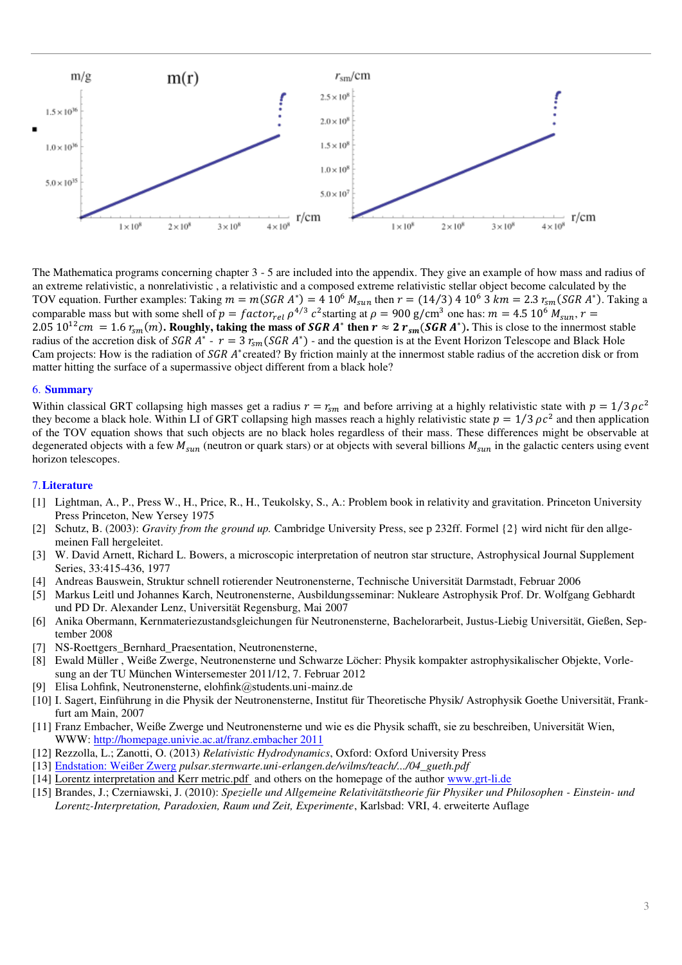

The Mathematica programs concerning chapter 3 - 5 are included into the appendix. They give an example of how mass and radius of an extreme relativistic, a nonrelativistic , a relativistic and a composed extreme relativistic stellar object become calculated by the TOV equation. Further examples: Taking  $m = m(SGR A^*) = 4 10^6 M_{sun}$  then  $r = (14/3) 4 10^6 3 km = 2.3 r_{sm}(SGR A^*)$ . Taking a comparable mass but with some shell of  $p = factor_{rel} \rho^{4/3} c^2$  starting at  $\rho = 900 \text{ g/cm}^3$  one has:  $m = 4.5 \text{ 10}^6 M_{sun}$ ,  $r = 0.87 \text{ m}^3$  $2.05 \, 10^{12}$  cm = 1.6  $r_{\rm sm}(m)$ . Roughly, taking the mass of *SGR A*\* then  $r \approx 2 r_{\rm sm}(SGR A^*)$ . This is close to the innermost stable radius of the accretion disk of *SGR A*<sup>\*</sup> -  $r = 3 r<sub>sm</sub> (SGR A<sup>*</sup>)$  - and the question is at the Event Horizon Telescope and Black Hole Cam projects: How is the radiation of SGR A\*created? By friction mainly at the innermost stable radius of the accretion disk or from matter hitting the surface of a supermassive object different from a black hole?

### 6. **Summary**

Within classical GRT collapsing high masses get a radius  $r = r_{sm}$  and before arriving at a highly relativistic state with  $p = 1/3 \rho c^2$ they become a black hole. Within LI of GRT collapsing high masses reach a highly relativistic state  $p = 1/3 \rho c^2$  and then application of the TOV equation shows that such objects are no black holes regardless of their mass. These differences might be observable at degenerated objects with a few  $M_{sun}$  (neutron or quark stars) or at objects with several billions  $M_{sun}$  in the galactic centers using event horizon telescopes.

#### 7.**Literature**

- [1] Lightman, A., P., Press W., H., Price, R., H., Teukolsky, S., A.: Problem book in relativity and gravitation. Princeton University Press Princeton, New Yersey 1975
- [2] Schutz, B. (2003): *Gravity from the ground up.* Cambridge University Press, see p 232ff. Formel {2} wird nicht für den allgemeinen Fall hergeleitet.
- [3] W. David Arnett, Richard L. Bowers, a microscopic interpretation of neutron star structure, Astrophysical Journal Supplement Series, 33:415-436, 1977
- [4] Andreas Bauswein, Struktur schnell rotierender Neutronensterne, Technische Universität Darmstadt, Februar 2006
- [5] Markus Leitl und Johannes Karch, Neutronensterne, Ausbildungsseminar: Nukleare Astrophysik Prof. Dr. Wolfgang Gebhardt und PD Dr. Alexander Lenz, Universität Regensburg, Mai 2007
- [6] Anika Obermann, Kernmateriezustandsgleichungen für Neutronensterne, Bachelorarbeit, Justus-Liebig Universität, Gießen, September 2008
- [7] NS-Roettgers Bernhard Praesentation, Neutronensterne,
- [8] Ewald Müller , Weiße Zwerge, Neutronensterne und Schwarze Löcher: Physik kompakter astrophysikalischer Objekte, Vorlesung an der TU München Wintersemester 2011/12, 7. Februar 2012
- [9] Elisa Lohfink, Neutronensterne, elohfink@students.uni-mainz.de
- [10] I. Sagert, Einführung in die Physik der Neutronensterne, Institut für Theoretische Physik/ Astrophysik Goethe Universität, Frankfurt am Main, 2007
- [11] Franz Embacher, Weiße Zwerge und Neutronensterne und wie es die Physik schafft, sie zu beschreiben, Universität Wien, WWW: [http://homepage.univie.ac.at/franz.embacher 2011](http://homepage.univie.ac.at/franz.embacher%202011)
- [12] Rezzolla, L.; Zanotti, O. (2013) *Relativistic Hydrodynamics*, Oxford: Oxford University Press
- [13] [Endstation: Weißer Zwerg](http://pulsar.sternwarte.uni-erlangen.de/wilms/teach/lavilla06/04_gueth.pdf) *pulsar.sternwarte.uni-erlangen.de/wilms/teach/.../04\_gueth.pdf*
- [14] [Lorentz interpretation and Kerr metric.pdf](Lorentz%20interpretation%20and%20Kerr%20metric.pdf) and others on the homepage of the autho[r www.grt-li.de](http://www.grt-li.de/)
- [15] Brandes, J.; Czerniawski, J. (2010): *Spezielle und Allgemeine Relativitätstheorie für Physiker und Philosophen Einstein- und Lorentz-Interpretation, Paradoxien, Raum und Zeit, Experimente*, Karlsbad: VRI, 4. erweiterte Auflage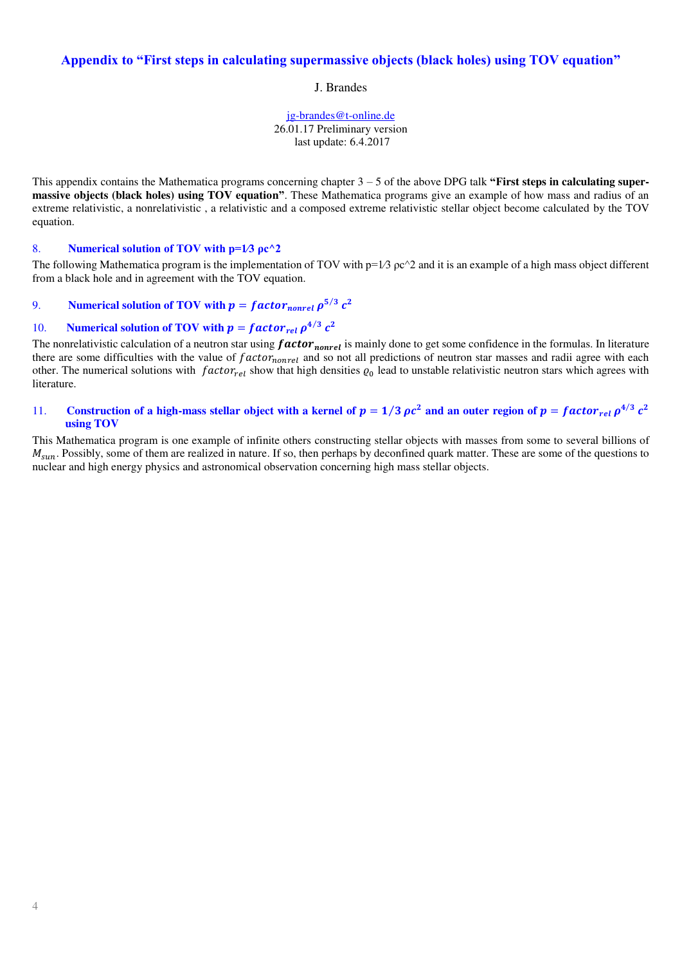# **Appendix to "First steps in calculating supermassive objects (black holes) using TOV equation"**

J. Brandes

[jg-brandes@t-online.de](mailto:jg-brandes@t-online.de) 26.01.17 Preliminary version last update: 6.4.2017

This appendix contains the Mathematica programs concerning chapter 3 – 5 of the above DPG talk **"First steps in calculating supermassive objects (black holes) using TOV equation"**. These Mathematica programs give an example of how mass and radius of an extreme relativistic, a nonrelativistic , a relativistic and a composed extreme relativistic stellar object become calculated by the TOV equation.

## 8. **Numerical solution of TOV with p=1⁄3 ρc^2**

The following Mathematica program is the implementation of TOV with  $p=1/3$   $pc^2$  and it is an example of a high mass object different from a black hole and in agreement with the TOV equation.

# 9. **Numerical solution of TOV with**  $p = factor_{nonrel} \rho^{5/3} c^2$

# 10. **Numerical solution of TOV with**  $p = factor_{rel} \rho^{4/3} c^2$

The nonrelativistic calculation of a neutron star using  $factor_{nonrel}$  is mainly done to get some confidence in the formulas. In literature there are some difficulties with the value of  $factor_{nonrel}$  and so not all predictions of neutron star masses and radii agree with each other. The numerical solutions with  $factor_{rel}$  show that high densities  $\varrho_0$  lead to unstable relativistic neutron stars which agrees with literature.

## 11. **Construction of a high-mass stellar object with a kernel of**  $p = 1/3 \rho c^2$  **and an outer region of**  $p = factor_{rel} \rho^{4/3} c^2$ **using TOV**

This Mathematica program is one example of infinite others constructing stellar objects with masses from some to several billions of  $M_{\text{sun}}$ . Possibly, some of them are realized in nature. If so, then perhaps by deconfined quark matter. These are some of the questions to nuclear and high energy physics and astronomical observation concerning high mass stellar objects.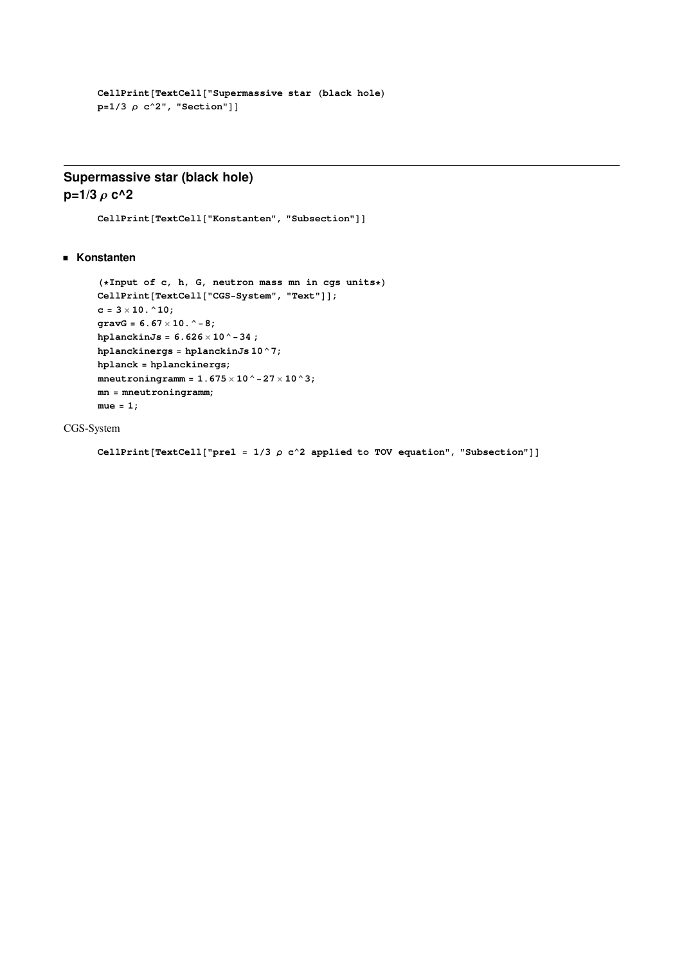```
CellPrint[TextCell['Supermassive star (black hole)]p=1/3 \rho c<sup>2</sup>", "Section"]]
```
# **Supermassive star (black hole) p=1/3**  $\rho$  **c**^2

 $CellPrint[TextCell['Konstanten", "Subsection"]$ 

**Konstanten**

```
H*Input of c, h, G, neutron mass mn in cgs units*L
CellPrint[TextCell['CGS-System", "Text"]c = 3 \times 10. ^10;
gravG = 6.67 ´ 10.^-8;
hplanckinJs = 6.626 \times 10^{-4} - 34;
hplanckinergs = hplanckinJs 10^7;
hplanck = hplanckinergs;
mneutroningramm = 1.675 ´ 10^-27 ´ 10^3;
mn = mneutroningramm;
mue = 1;
```
CGS-System

**CellPrint**[TextCell["prel =  $1/3$   $\rho$  c^2 applied to TOV equation", "Subsection"]]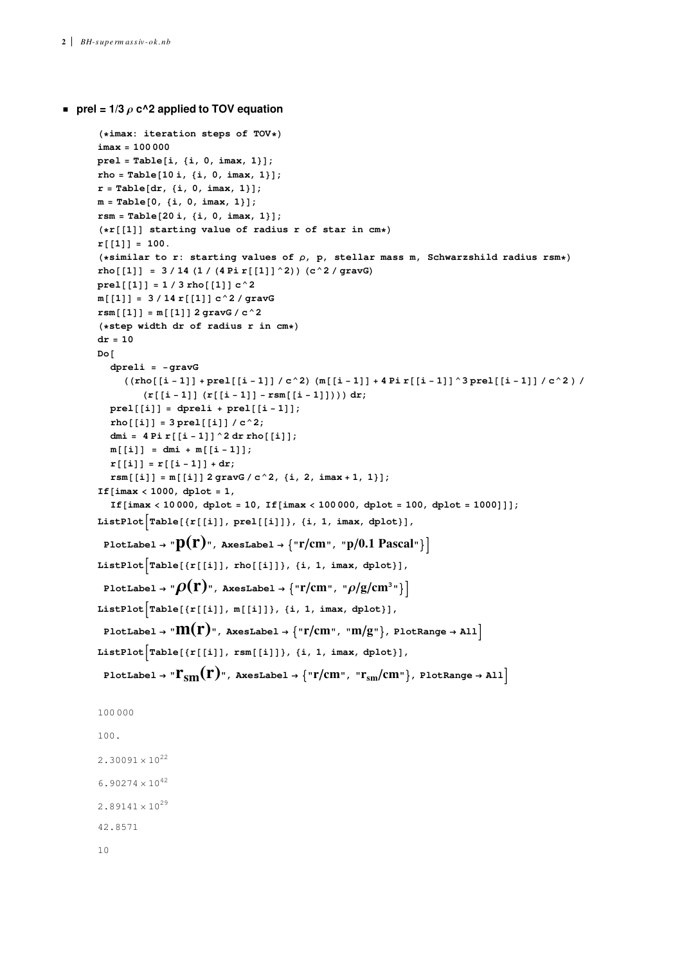```
prel = 1/3 \rho c^2 applied to TOV equation
```

```
H*imax: iteration steps of TOV*L
imax = 100 000
pre1 = Table[i, {i, 0, imax, 1};
rho = Table[10 i, {i, 0, imax, 1}];r = Table[dr, {i, 0, imax, 1}];
m = Table[0, {i, 0, imax, 1}];
rsm = Table[20 i, {i, 0, imax, 1}];
(*r[[1]] starting value of radius r of star in cm*r[[1]] = 100.
H*similar to r: starting values of Ρ, p, stellar mass m, Schwarzshild radius rsm*L
rho[[1]] = 3/14(1/(4 \text{Pi}[[1]]^2)) (c<sup>2</sup>/gravG)
prel[[1]] = 1 / 3 rho[[1]] c^2m[[1]] = 3/14 r[[1]] c^2 / gravGrsm[[1]] = m[[1]] 2 gravG / c^2H*step width dr of radius r in cm*L
dr = 10
Do@
   dpreli = -gravG
      ((\texttt{rho}[\left[i-1\right]]+\texttt{prel}[\left[i-1\right]]\,/\,c^2)\,(\texttt{m}[\left[i-1\right]]+4\,\texttt{pir}\left[\left[i-1\right]\right] \,\texttt{^3}\,\texttt{prel}[\left[i-1\right]]\,/\,c^2)\,/\,(\mathbf{r} \begin{bmatrix} \begin{bmatrix} i-1 \end{bmatrix} \begin{bmatrix} r \begin{bmatrix} i-1 \end{bmatrix} - r s \mathbb{m} \begin{bmatrix} i-1 \end{bmatrix} \end{bmatrix})) dr;
   prel[[i]] = dpreli + prel[[i - 1]];rho[[i]] = 3 pre1[[i]] / c^2;dmi = 4 Pi r[[i - 1]]^2 d r r h o[[i]];m[[i]] = dmi + m[[i-1]];r[[i]] = r[[i-1]] + dr;r s m[[i]] = m[[i]] 2 gravG / c^2, {i, 2, imax + 1, 1};
If@imax < 1000, dplot = 1,
   If[imax < 10 000, dplot = 10, If[imax < 100 000, dplot = 100, dplot = 1000]]];
ListPlot[Table[\{r[[i]], pred[[i]]\}, \{i, 1, imax, dplot\}],PlotLabel \rightarrow "P(\mathbf{r})", AxesLabel \rightarrow {"r/cm", "p/0.1 Pascal"}
ListPlot\left[Table[\{r[[i]], rho[[i]]\}, \{i, 1, imax, dplot\}],\right)PlotLabel \rightarrow "\rho(\mathbf{r})", AxesLabel \rightarrow {"\mathbf{r}/\text{cm}", "\rho/\text{g}/\text{cm}^3"}
ListPlot\left[Table[\{r[[i]], m[[i]]\}, \{i, 1, imax, dplot\}],\right]PlotLabel \rightarrow "\mathbf{M}(\mathbf{r})", AxesLabel \rightarrow {"\mathbf{r}/\text{cm}", "\mathbf{m}/\text{g}"}, PlotRange \rightarrow All<sup>1</sup>
ListPlot\left[Table[\{r[[i]], rsm[[i]]\}, \{i, 1, imax, dplot\}],\right]PlotLabel \rightarrow "\Gamma_{\rm{sm}}(r)", AxesLabel \rightarrow {"r/cm", "r_{\rm{sm}}/cm"}, PlotRange \rightarrow All
100 000
100.
2.30091 \times 10^{22}6.90274 \times 10^{42}2.89141 \times 10^{29}42.8571
10
```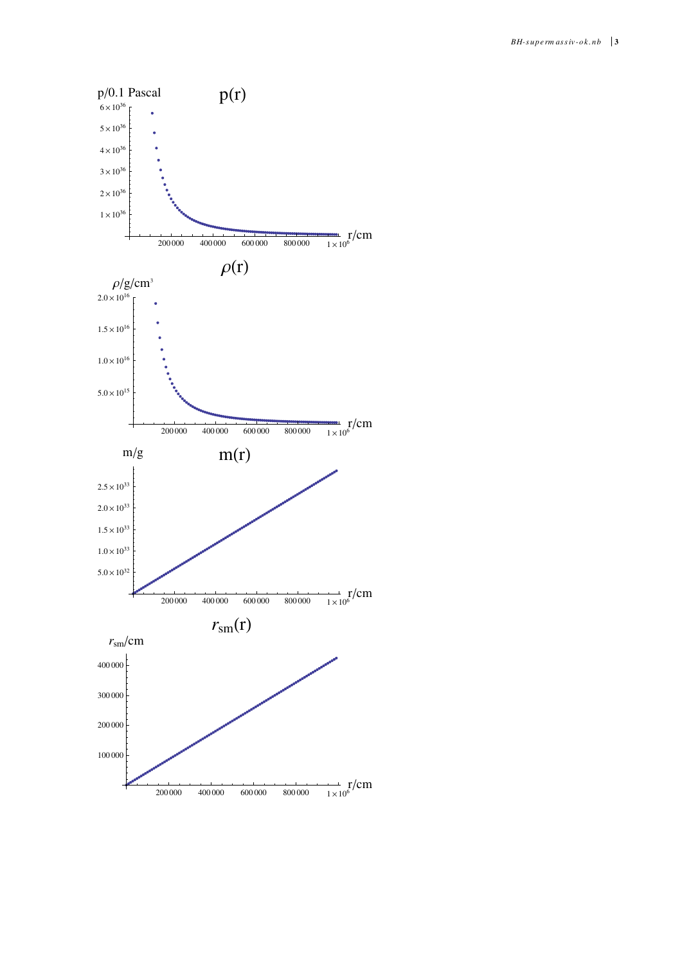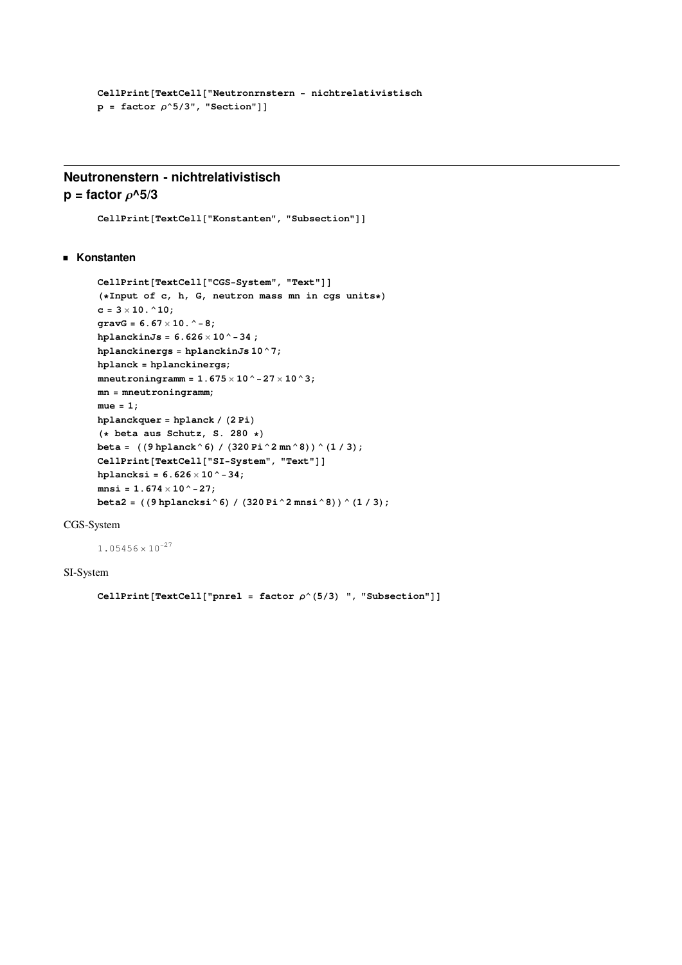```
CellPrint@TextCell@"Neutronrnstern - nichtrelativistisch
p = factor p^65/3", "Section"]]
```
# **Neutronenstern - nichtrelativistisch p** = factor  $\rho$ <sup> $\wedge$ 5/3</sup>

```
CellPrint[TextCell['Konstanten", "Subsection"]
```
## **Konstanten**

```
CellPrint[TextCell['CGS-System", "Text"]H*Input of c, h, G, neutron mass mn in cgs units*L
c = 3 \times 10. ^10;
gravG = 6.67 \times 10. ^ - 8;
hplanckinJs = 6.626 ´ 10^-34 ;
hplanckinergs = hplanckinJs 10^7;
hplanck = hplanckinergs;
mneutroningramm = 1.675 ´ 10^-27 ´ 10^3;
mn = mneutroningramm;
mue = 1;
hplanckquer = hplanck / (2 Pi)
H* beta aus Schutz, S. 280 *L
\betabeta = ((9 \text{ hplanck}^6)(1 \cdot (320 \text{ Pi}^2 \text{ mm}^8)) ^ (1 \cdot 3);
CellPrint[TextCell['SI-System", "Text"]hplancksi = 6.626 \times 10^{-4} - 34;
mnsi = 1.674 \times 10^{\degree} - 27;beta2 = ((9 \text{ hplancksi}^6) / (320 \text{ Pi}^2 \text{2} \text{mnsi}^8)) (1/3);
```
## CGS-System

 $1.05456 \times 10^{-27}$ 

## SI-System

```
CellPrint[TextCell['pnrel = factor \rho^{(5/3)} ", "Subsection"]
```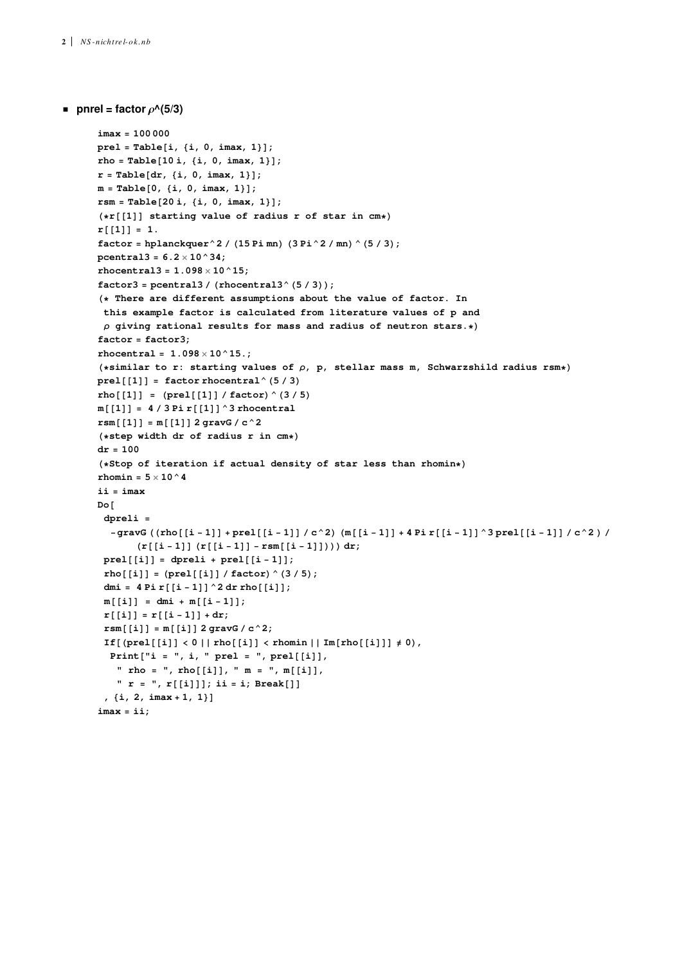```
p pnrel = factor \rho^A(5/3)
```

```
imax = 100 000
pre1 = Table[i, {i, 0, imax, 1};
rho = Table[10 i, {i, 0, imax, 1}];r = Table[dr, {i, 0, imax, 1}];
m = Table[0, {i, 0, imax, 1}];
rsm = Table[20 i, {i, 0, imax, 1}];
(*r[[1]] starting value of radius r of star in cm*\mathbf{r}[[1]] = 1.
factor = hplanckquer ^2 / (15 Pi mn) (3 Pi ^2 / mn) ^ (5 / 3);
pcentral3 = 6.2 ´ 10^34;
rhocentral3 = 1.098 \times 10^{6} 15;
factor3 = pcentrals / (rhocentral3<sup>^</sup> (5 / 3));H* There are different assumptions about the value of factor. In
 this example factor is calculated from literature values of p and
 ρ giving rational results for mass and radius of neutron stars.*)
factor = factor3;
rhocentral = 1.098 \times 10^{6} 15.;
H*similar to r: starting values of Ρ, p, stellar mass m, Schwarzshild radius rsm*L
prel[[1]] = factor thocentral^(5/3)rho([1]) = (pred[[1]] / factor) ^ (3/5)
m[[1]] = 4/3 \text{Pi} r[[1]] ^3 rhocentral
rsm[[1]] = m[[1]] 2 gravG / c^2H*step width dr of radius r in cm*L
dr = 100
(* Stop of iteration if actual density of star less than rhomin*)
rhomin = 5 \times 10 ^4
ii = imax
Do@
 dpreli =
  - gravG ((rho[[i-1]] + prel[[i-1]] / c^2) (m[[i-1]] + 4 Pi r[[i-1]] ^3 prel[[i-1]] / c^2) /
        (\mathbf{r} \begin{bmatrix} \mathbf{i} - 1 \end{bmatrix} (\mathbf{r} \begin{bmatrix} \mathbf{i} - 1 \end{bmatrix} - \mathbf{r} \mathbf{s} \mathbf{m} \begin{bmatrix} \mathbf{i} - 1 \end{bmatrix}))) \, \mathbf{d} \mathbf{r}prel[[i]] = dpreli + prel[[i - 1]];
 \mathbf{rho}^{\{i\}} [i] = \mathbf{(pred[[i]] / factor)} (3 / 5);dmi = 4 Pi r[[i - 1]]^2 d r rho[[i]];m[[i]] = dmi + m[[i-1]];r[[i]] = r[[i-1]] + dr;rsm[[i]] = m[[i]] 2 gravG / c^2;If [(prel[[i]] < 0 | | rho [[i]] < rhomin | | Im [rho [[i]]] \neq 0),
  \text{Print}['i = ", i, " \text{ prel} = ", \text{ prel}[[i]]," rho = ", rho[[i]], " m = ", m[[i]],
    " r = ", r@@iDDD; ii = i; Break@DD
 , \{i, 2, imax + 1, 1\}imax = ii;
```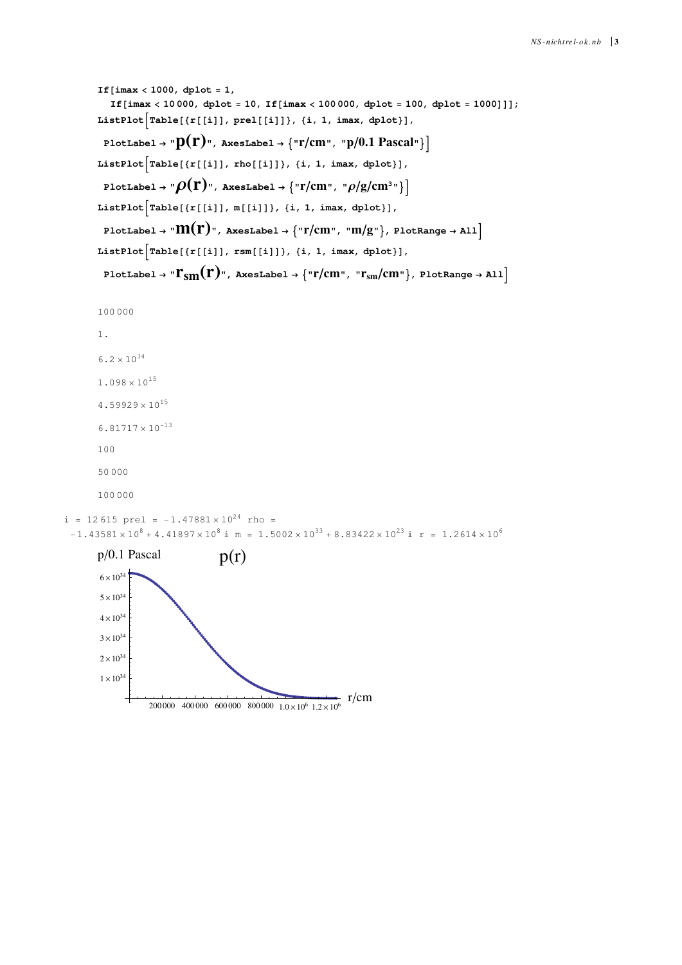```
If[imax < 1000, dplot = 1,
            If[imax < 10 000, dplot = 10, If[imax < 100 000, dplot = 100, dplot = 1000]]];
        ListPlot\left[Table[\{r[[i]]\}, pre1[[i]]\}, \{i, 1, \text{imax}, \text{dplot}\}\right],PlotLabel \rightarrow "p(r)", AxesLabel \rightarrow {"r/cm", "p/0.1 Pascal"}
        ListPlot[Table[\{r[[i]], rho[[i]]\}, \{i, 1, imax, dplot\}],PlotLabel \rightarrow "\rho(\mathbf{r})", AxesLabel \rightarrow {"\mathbf{r}/\text{cm}", "\rho/\text{g}/\text{cm}^3"}
        ListPlot[Table[\{r[[i]], m[[i]]\}, \{i, 1, \text{imax}, \text{dplot}\}],PlotLabel \rightarrow "\mathbf{M}(\mathbf{r})", AxesLabel \rightarrow {"\mathbf{r}/\text{cm}", "\mathbf{m}/\text{g}"}, PlotRange \rightarrow All<sup>1</sup>
        ListPlot[Table[\{r[[i]], rsm[[i]]\}, \{i, 1, imax, dplot\}],PlotLabel \rightarrow "\Gamma_{\text{sm}}(\Gamma)", AxesLabel \rightarrow {"\Gamma/\text{cm}", "\Gamma_{\text{sm}}/\text{cm}"}, PlotRange \rightarrow All]
        100 000
         1.
         6.2 \times 10^{34}1.098 \times 10^{15}4.59929 \times 10^{15}6.81717 \times 10^{-13}100
         50 000
         100 000
i = 12615 prel = -1.47881 \times 10^{24} rho =
 -1.43581 \times 10^8 + 4.41897 \times 10^8 i m = 1.5002 \times 10^{33} + 8.83422 \times 10^{23} i r = 1.2614 \times 10^6p/0.1 Pascal p(r)
```
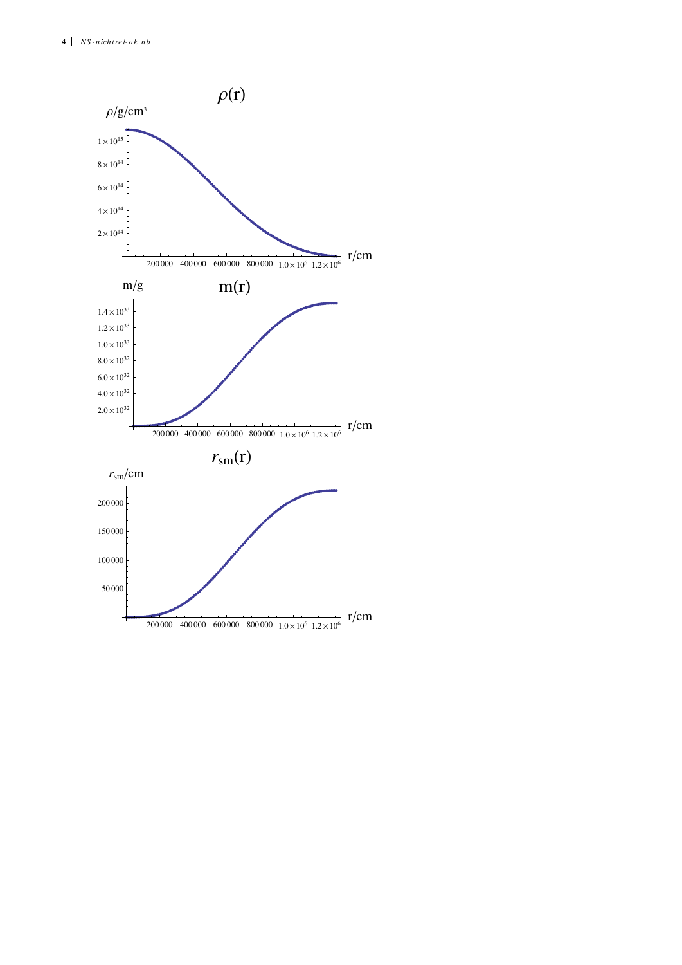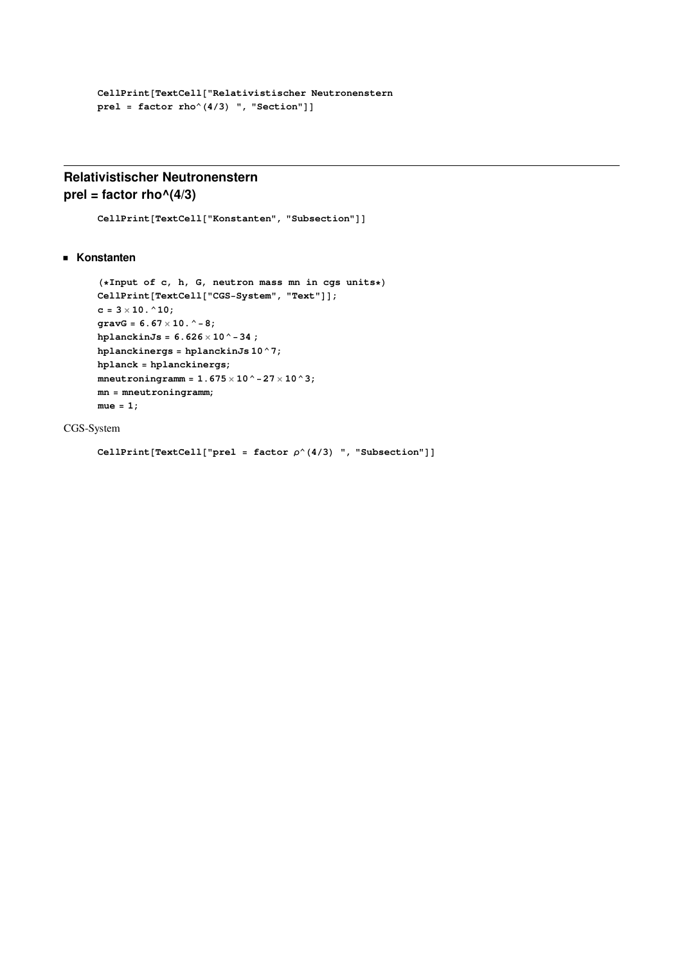```
CellPrint@TextCell@"Relativistischer Neutronenstern
pre1 = factor rho^(4/3) ", "Section"]]
```
# **Relativistischer Neutronenstern**  $prel = factor rho^(4/3)$

```
CellPrint[TextCell['Konstanten", "Subsection"]
```
**Konstanten**

```
H*Input of c, h, G, neutron mass mn in cgs units*L
CellPrint[TextCell['CGS-System", "Text"]c = 3 \times 10. ^10;
gravG = 6.67 ´ 10.^-8;
hplanckinJs = 6.626 \times 10^{-4} - 34;
hplanckinergs = hplanckinJs 10^7;
hplanck = hplanckinergs;
mneutroningramm = 1.675 ´ 10^-27 ´ 10^3;
mn = mneutroningramm;
mue = 1;
```
CGS-System

```
CellPrint[TextCell["prel = factor \rho<sup>\wedge</sup>(4/3) ", "Subsection"]]
```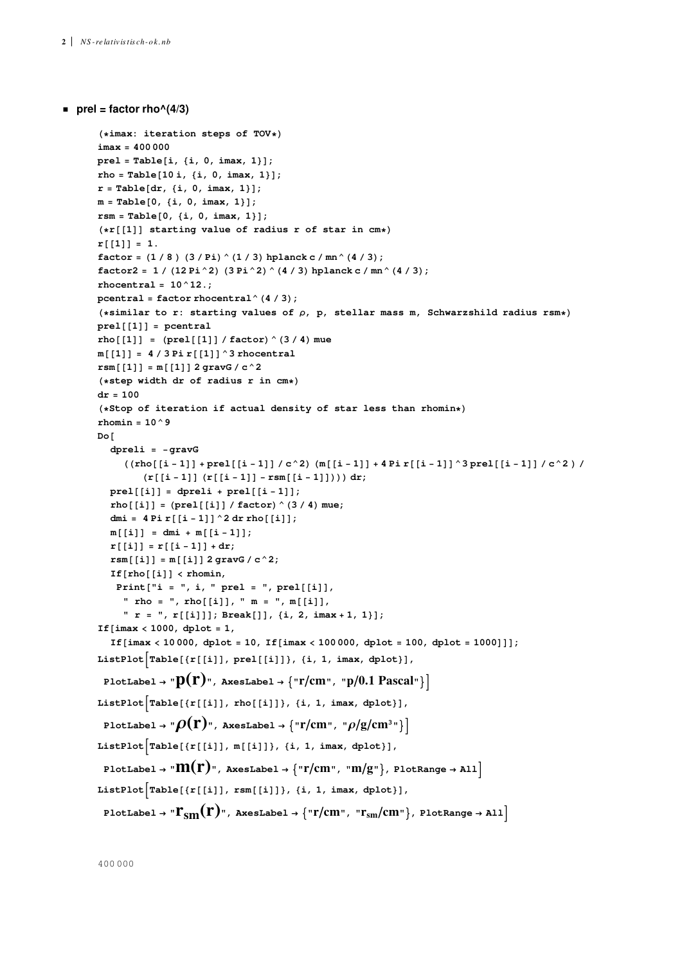**prel = factor rho** $(4/3)$ 

```
H*imax: iteration steps of TOV*L
imax = 400 000
pre1 = Table[i, {i, 0, imax, 1};
rho = Table[10 i, {i, 0, imax, 1}];r = \text{Table}[\text{dr}, \{i, 0, \text{imax}, 1\}];m = Table[0, {i, 0, imax, 1}];
rsm = Table[0, {i, 0, imax, 1};
(*r[[1]] starting value of radius r of star in cm*\mathbf{r} \begin{bmatrix} 1 \\ 1 \end{bmatrix} = 1.factor = (1 / 8) (3 / Pi) (1 / 3) hplanck c / mn (4 / 3);factor2 = 1 / (12 \text{ Pi}^2) (3 \text{ Pi}^2) (4 / 3) \text{ hplanck c} / \text{mn}^4 (4 / 3);rhocentral = 10^12.;
pcentral = factor rhocentral (4 / 3);
H*similar to r: starting values of Ρ, p, stellar mass m, Schwarzshild radius rsm*L
prel[[1]] = pcentralrho[1] = (pred[[1]]) / factor \hat{ } (3/4) mue
m[[1]] = 4 / 3 \text{ Pi } r[[1]]^2 rhocentral
r s m[[1]] = m[[1]] 2 gravG / c^2H*step width dr of radius r in cm*L
dr = 100
(* Stop of iteration if actual density of star less than rhomin*)
rhomin = 10^9
Do@
   dpreli = -gravG
       (\left(\texttt{rho}[\left[i-1\right]\right]+\texttt{prel}[\left[i-1\right]]\ /c^2) \ \left(\texttt{m}[\left[i-1\right]\right]+\texttt{4} \ \texttt{pir}[\left[i-1\right]]\ \texttt{3}\ \texttt{prel}[\left[i-1\right]]\ /\ c^2) \ /(\mathbf{r} \begin{bmatrix} \mathbf{i} - 1 \end{bmatrix} (\mathbf{r} \begin{bmatrix} \mathbf{i} - 1 \end{bmatrix} - \mathbf{r} \mathbf{s} \mathbf{m} \begin{bmatrix} \mathbf{i} - 1 \end{bmatrix}))) \, dx;prel[[i]] = dpreli + prel[[i - 1]];rho [[i]] = (pre1[[i]] / factor \hat{ } (3 / 4) mue;
   dmi = 4 Pi r[[i - 1]] ^2 dr rho[[i]];
   m[[i]] = dmi + m[[i-1]];\mathbf{r}^{\{i\}} [i ] = \mathbf{r}^{\{i-1\}} + \mathbf{dr};
   rsm[[i]] = m[[i]] 2 gravG / c^2;\mathbf{If}[\mathbf{rho}[[i]] < \mathbf{r}homin,
     \text{Print}['i = ", i, " \text{ prel} = ", \text{ prel}[[i]]," rho = ", rho[[1]], " m = ", m[[1]]," r = ", r@@iDDD; Break@DD, 8i, 2, imax + 1, 1<D;
If@imax < 1000, dplot = 1,
   If[imax < 10 000, dplot = 10, If[imax < 100 000, dplot = 100, dplot = 1000]]];
ListPlot[Table[\{r[[i]], pred[[i]]\},\{i, 1, imax, dplot\}],\text{PlotLabel} \rightarrow \text{P}(\mathbf{r})", AxesLabel \rightarrow \{\text{Tr/cm}^{\circ}, \text{ "p/0.1 Pascal}^{\circ}\}\ListPlot\left[Table[\{r[[i]], rho[[i]]\}, \{i, 1, imax, dplot\}],\right)PlotLabel \rightarrow "\rho(\mathbf{r})", AxesLabel \rightarrow {"\mathbf{r}/\text{cm}", "\rho/\text{g}/\text{cm}^3"}
ListPlot\left[Table[\{r[[i]], m[[i]]\}, \{i, 1, \text{imax}, \text{dplot}\}],\right]PlotLabel \rightarrow "\mathbf{M}(\mathbf{r})", AxesLabel \rightarrow {"\mathbf{r}/\text{cm}", "\mathbf{m}/\text{g}"}, PlotRange \rightarrow All<sup>1</sup>
ListPlot\left[Table[\{r[[i]], rsm[[i]]\}, \{i, 1, imax, dplot\}],\right]PlotLabel \rightarrow "\Gamma_{\rm sm}(\Gamma)", AxesLabel \rightarrow {"\Gamma/\rm cm", "\Gamma_{\rm sm}/\rm cm"}, PlotRange \rightarrow All]
```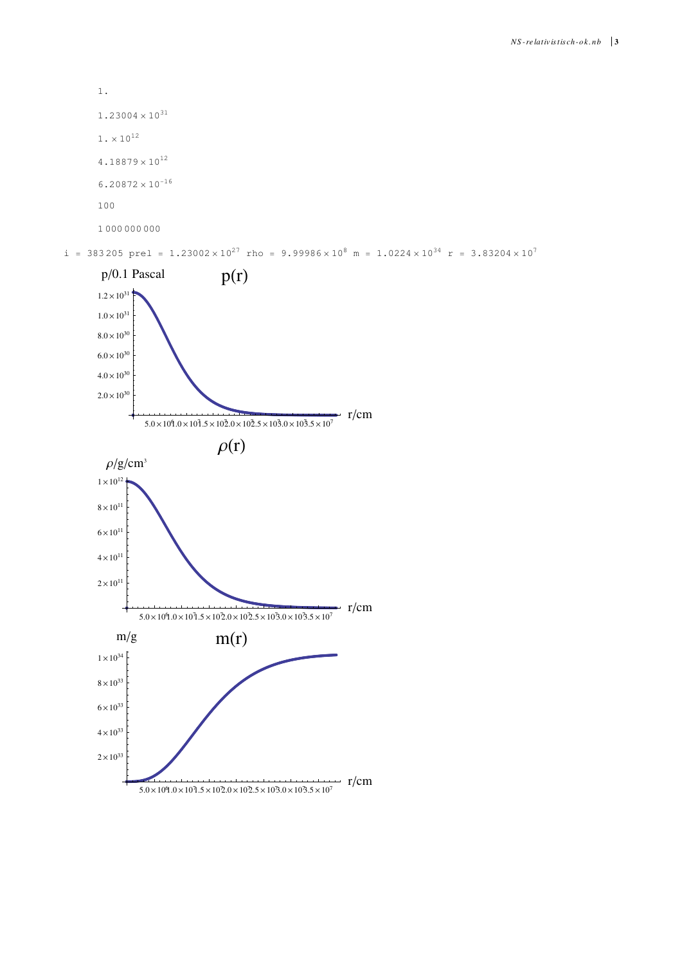$1.23004 \times 10^{31}$  $1 \cdot \times 10^{12}$  $4.18879 \times 10^{12}$  $6.20872 \times 10^{-16}$ 100 1 000 000 000

1.



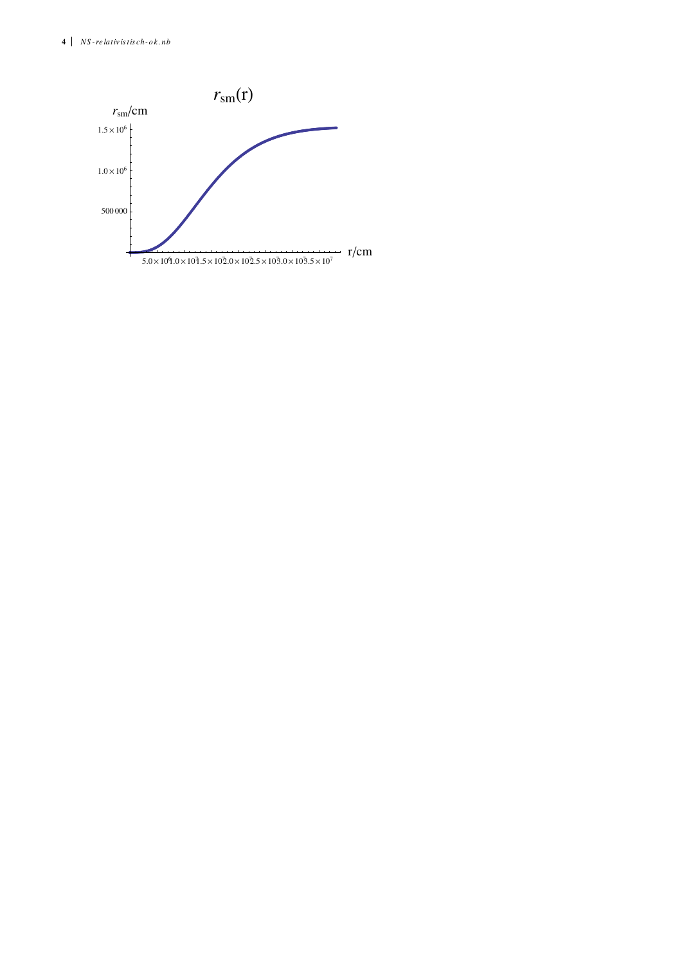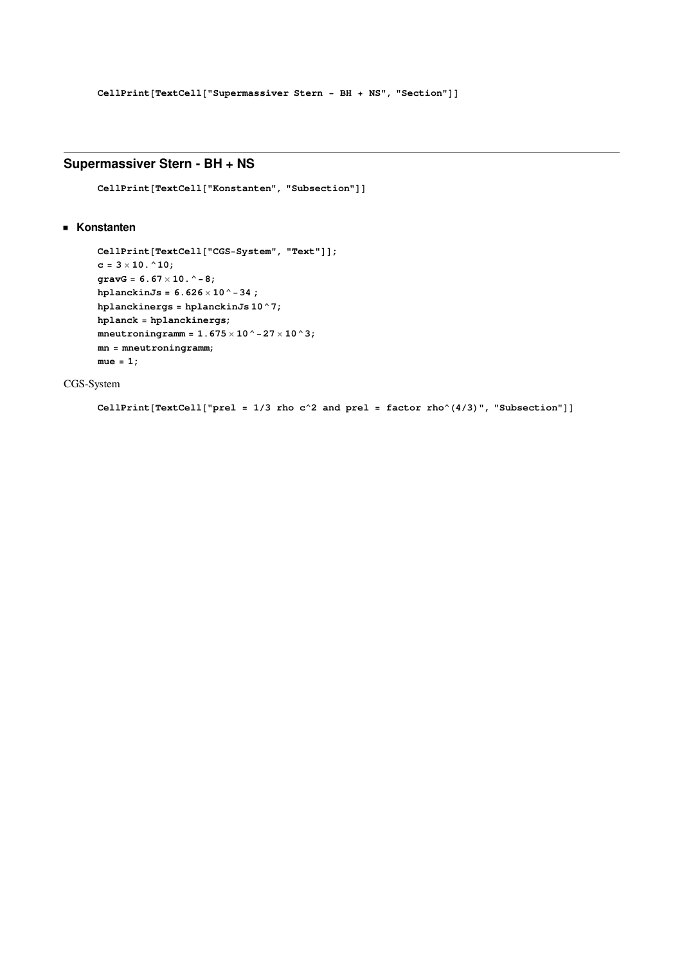# **Supermassiver Stern - BH + NS**

 $CellPrint[TextCell['Konstanten", "Subsection"]$ 

## **Konstanten**

```
CellPrint[TextCell['CGS-System", "Text"]c = 3 \times 10. ^10;
gravG = 6.67 ´ 10.^-8;
hplanckinJs = 6.626 \times 10^{-4} - 34;
hplanckinergs = hplanckinJs 10^7;
hplanck = hplanckinergs;
mnneutroningramm = 1.675 \times 10^-27 \times 10^3;
mn = mneutroningramm;
mue = 1;
```
CGS-System

 $CellPrint[TextCell['pre1 = 1/3$  rho c^2 and prel =  $factor \rho^(4/3)$ , "Subsection"]]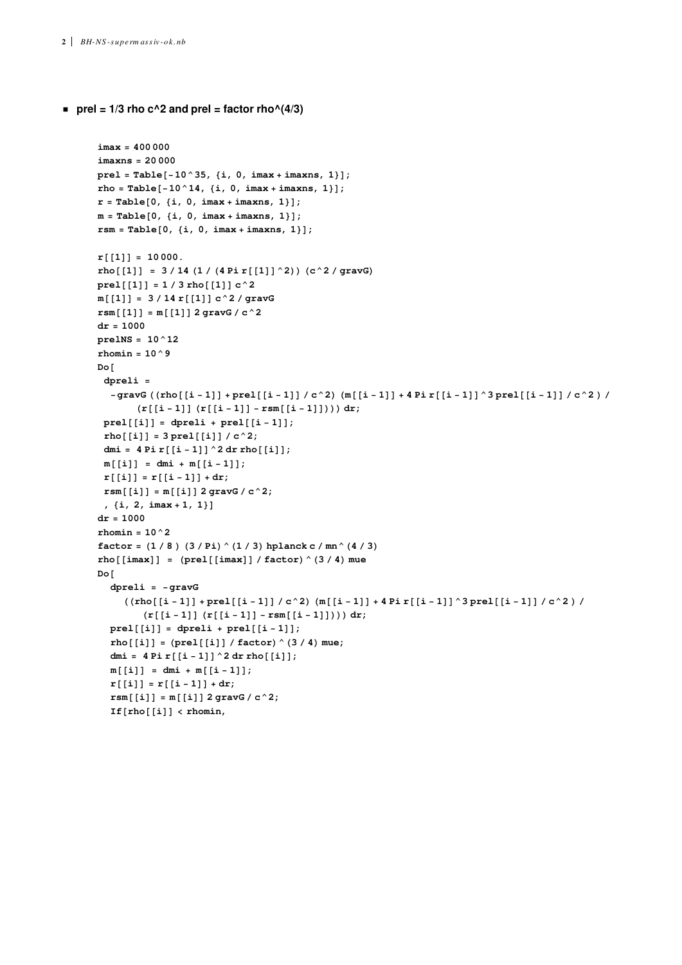```
prel = 1/3 rho c^2 and prel = factor rho^(4/3)
```

```
imax = 400 000
imaxns = 20 000
\text{prel} = \text{Table}[-10^{\degree}35, \{i, 0, \text{imax} + \text{imax}, 1\}];rho = Table[-10^14, \{i, 0, \text{imax} + \text{imax}, 1\}];r = Table[0, {i, 0, imax + imaxns, 1};
m = \text{Table}[0, \{i, 0, \text{imax} + \text{imax}, 1\}];rsm = Table[0, {i, 0, imax + imaxns, 1}];r[[1]] = 10000.
rho[[1]] = 3/14(1/(4 \text{Pi}[[1]]^2)) (c<sup>2</sup>/gravG)
prel[[1]] = 1 / 3 rho[[1]] c^2m[[1]] = 3/14 r[[1]] c^2 / gravG
rsm[[1]] = m[[1]] 2 gravG / c^2dr = 1000
prelNS = 10^12
rhomin = 10^9
Do@
 dpreli =
  -gravG ((rho[[i-1]] + prel[[i-1]] / c^2) (m[[i-1]] + 4 Pi r[[i-1]]^3 pre][[i-1]] / c^2) /
        (\mathbf{r}[[i-1]])(\mathbf{r}[[i-1]] - \mathbf{rsm}[[i-1]]))) \, dx;prel[[i]] = dpreli + prel[[i - 1]];rho[[i]] = 3 pre1[[i]] / c^2;dmi = 4 Pi r[[i - 1]] ^2 dr rho[[i]];
 m[[i]] = dmi + m[[i-1]];r([i]) = r([i-1]) + dr;r s m[[i]] = m[[i]] 2 gravG / c^2;, \{i, 2, imax + 1, 1\}dr = 1000
rhomin = 10^2
factor = (1/8) (3/Pi) (1/3) hplanck c/mn<sup>(4/3)</sup>
rho [ [imax] ] = (prel[[imax]) /factor) \hat{=} (3 / 4) mue
Do@
  dpreli = -gravG
     ((rho[[i-1]] + pre][[i-1]] / c^2) (m[[i-1]] + 4 Pi r[[i-1]] \uparrow 3 pre1[[i-1]] / c^2) /
         (\mathbf{r}[[i-1]](\mathbf{r}[[i-1]] - \mathbf{rsm}[[i-1]]))) \, d\mathbf{r};prel[[i]] = dpreli + prel[[i-1]];rho[1] = |pred[[1]] / factor \wedge (3 / 4) mue;
  dmi = 4 Pi r[[i - 1]]^2 d r r (i);
  m[[i]] = dmi + m[[i-1]];r[[i]] = r[[i-1]] + dr;rsm[[i]] = m[[i]] 2 gravG / c^2;If[rho([i]] < rhomin,
```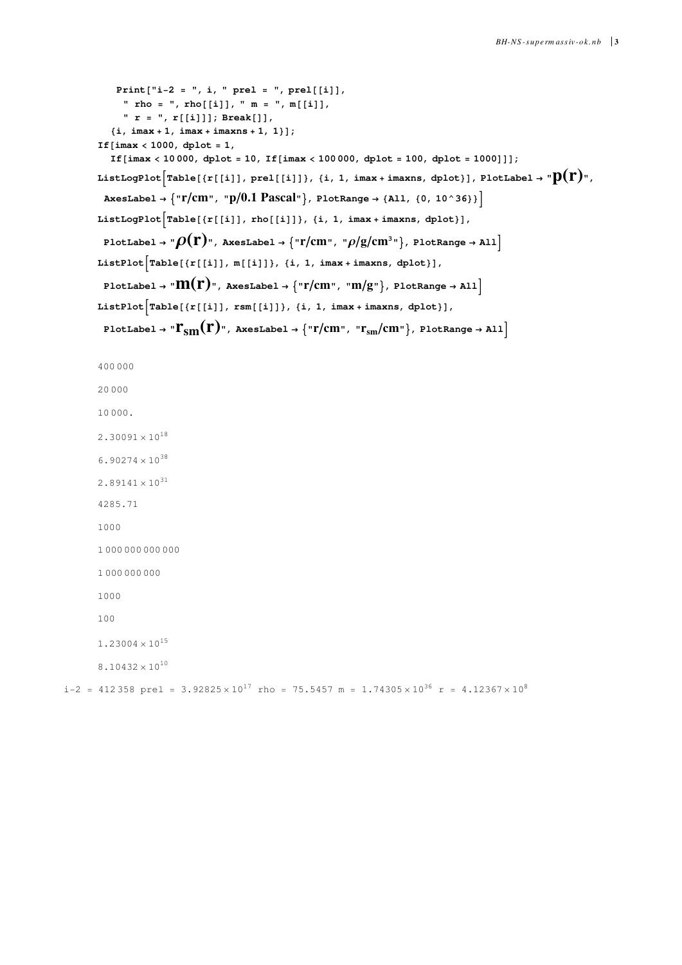```
\text{Print}['i-2 = ", i, " prel = ", prel[]" rho = ", rho[[1]], " m = ", m[[1]]," r = ", r@@iDDD; Break@DD,
             \{i, imax + 1, imax + imaxns + 1, 1\};
         If\{ \text{imax} < 1000, \text{ dplot} = 1,If@imax < 10 000, dplot = 10, If@imax < 100 000, dplot = 100, dplot = 1000DDD;
         ListLogPlot \lceilTable [\{r[[i]]\}, prel[[i]]\}, \{i, 1, \text{imax + imaxns}, \text{dplot}]\}, PlotLabel \rightarrow "D(r)",
           \{ \text{NNSLabel} \rightarrow \{ \text{N} \mid \text{N} \mid \text{N} \mid \text{N} \} Pascal \text{N} \}, \text{PlotRange} \rightarrow \{ \text{All}, \{ \text{0}, \text{10} \land \text{36} \} \}ListLogPlot\left[\text{Table}[\{r[[i]], rho[[i]]\}, \{i, 1, \text{imax} + \text{imax}, \text{dplot}\}],PlotLabel \rightarrow "\rho(\mathbf{r})", AxesLabel \rightarrow {"\mathbf{r/cm}", "\rho/\text{g/cm}^3"}, PlotRange \rightarrow All]
         \text{ListPlot}\left[\text{Table}[\{r[[i]], m[[i]]\}, \{i, 1, \text{imax + inaxns, dplot}\}],PlotLabel \rightarrow "\mathbf{M}(\mathbf{r})", AxesLabel \rightarrow {"\mathbf{r}/\text{cm}", "\mathbf{m}/\text{g}"}, PlotRange \rightarrow All<sup>1</sup>
         ListPlot\left[Table[\{r[[i]]\},\text{rsm[[i]]}\},\{\text{i},\text{ 1, imax +} \text{imaxns, dplot}\}\right],PlotLabel \rightarrow "\Gamma_{\text{sm}}(\Gamma)", AxesLabel \rightarrow {"\Gamma/\text{cm}", "\Gamma_{\text{sm}}/\text{cm}"}, PlotRange \rightarrow All]
         400 000
         20 000
         10 000.
         2.30091 \times 10^{18}6.90274\times10<sup>38</sup>
         2.89141 \times 10^{31}4285.71
         1000
         1 000 000 000 000
         1 000 000 000
         1000
         100
         1.23004 \times 10^{15}8.10432 \times 10^{10}i-2 = 412 358 prel = 3.92825 \times 10^{17} rho = 75.5457 m = 1.74305 \times 10^{36} r = 4.12367 \times 10^{8}
```